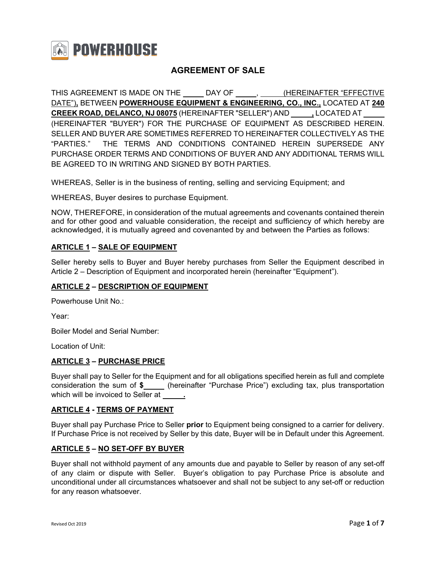

# **AGREEMENT OF SALE**

THIS AGREEMENT IS MADE ON THE \_\_\_\_\_\_ DAY OF \_\_\_\_\_\_, \_\_\_\_\_ (HEREINAFTER "EFFECTIVE DATE")**,** BETWEEN **POWERHOUSE EQUIPMENT & ENGINEERING, CO., INC.,** LOCATED AT **240 CREEK ROAD, DELANCO, NJ 08075** (HEREINAFTER "SELLER") AND **,** LOCATED AT (HEREINAFTER "BUYER") FOR THE PURCHASE OF EQUIPMENT AS DESCRIBED HEREIN. SELLER AND BUYER ARE SOMETIMES REFERRED TO HEREINAFTER COLLECTIVELY AS THE "PARTIES." THE TERMS AND CONDITIONS CONTAINED HEREIN SUPERSEDE ANY PURCHASE ORDER TERMS AND CONDITIONS OF BUYER AND ANY ADDITIONAL TERMS WILL BE AGREED TO IN WRITING AND SIGNED BY BOTH PARTIES.

WHEREAS, Seller is in the business of renting, selling and servicing Equipment; and

WHEREAS, Buyer desires to purchase Equipment.

NOW, THEREFORE, in consideration of the mutual agreements and covenants contained therein and for other good and valuable consideration, the receipt and sufficiency of which hereby are acknowledged, it is mutually agreed and covenanted by and between the Parties as follows:

#### **ARTICLE 1 – SALE OF EQUIPMENT**

Seller hereby sells to Buyer and Buyer hereby purchases from Seller the Equipment described in Article 2 – Description of Equipment and incorporated herein (hereinafter "Equipment").

#### **ARTICLE 2 – DESCRIPTION OF EQUIPMENT**

Powerhouse Unit No.:

Year:

Boiler Model and Serial Number:

Location of Unit:

### **ARTICLE 3 – PURCHASE PRICE**

Buyer shall pay to Seller for the Equipment and for all obligations specified herein as full and complete consideration the sum of  $\frac{2}{\pi}$  (hereinafter "Purchase Price") excluding tax, plus transportation which will be invoiced to Seller at **.**

#### **ARTICLE 4 - TERMS OF PAYMENT**

Buyer shall pay Purchase Price to Seller **prior** to Equipment being consigned to a carrier for delivery. If Purchase Price is not received by Seller by this date, Buyer will be in Default under this Agreement.

### **ARTICLE 5 – NO SET-OFF BY BUYER**

Buyer shall not withhold payment of any amounts due and payable to Seller by reason of any set-off of any claim or dispute with Seller. Buyer's obligation to pay Purchase Price is absolute and unconditional under all circumstances whatsoever and shall not be subject to any set-off or reduction for any reason whatsoever.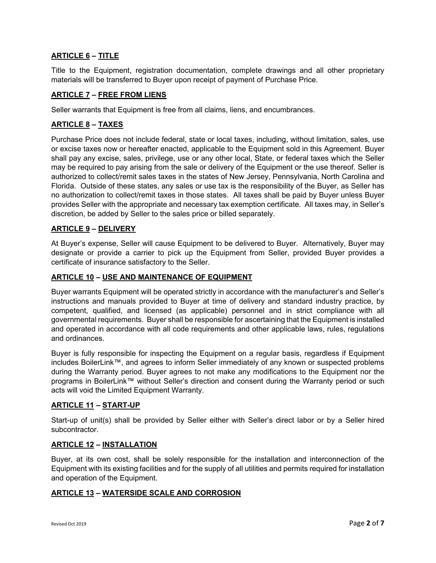## **ARTICLE 6 – TITLE**

Title to the Equipment, registration documentation, complete drawings and all other proprietary materials will be transferred to Buyer upon receipt of payment of Purchase Price.

#### **ARTICLE 7 – FREE FROM LIENS**

Seller warrants that Equipment is free from all claims, liens, and encumbrances.

## **ARTICLE 8 – TAXES**

Purchase Price does not include federal, state or local taxes, including, without limitation, sales, use or excise taxes now or hereafter enacted, applicable to the Equipment sold in this Agreement. Buyer shall pay any excise, sales, privilege, use or any other local, State, or federal taxes which the Seller may be required to pay arising from the sale or delivery of the Equipment or the use thereof. Seller is authorized to collect/remit sales taxes in the states of New Jersey, Pennsylvania, North Carolina and Florida. Outside of these states, any sales or use tax is the responsibility of the Buyer, as Seller has no authorization to collect/remit taxes in those states. All taxes shall be paid by Buyer unless Buyer provides Seller with the appropriate and necessary tax exemption certificate. All taxes may, in Seller's discretion, be added by Seller to the sales price or billed separately.

### **ARTICLE 9 – DELIVERY**

At Buyer's expense, Seller will cause Equipment to be delivered to Buyer. Alternatively, Buyer may designate or provide a carrier to pick up the Equipment from Seller, provided Buyer provides a certificate of insurance satisfactory to the Seller.

#### **ARTICLE 10 – USE AND MAINTENANCE OF EQUIPMENT**

Buyer warrants Equipment will be operated strictly in accordance with the manufacturer's and Seller's instructions and manuals provided to Buyer at time of delivery and standard industry practice, by competent, qualified, and licensed (as applicable) personnel and in strict compliance with all governmental requirements. Buyer shall be responsible for ascertaining that the Equipment is installed and operated in accordance with all code requirements and other applicable laws, rules, regulations and ordinances.

Buyer is fully responsible for inspecting the Equipment on a regular basis, regardless if Equipment includes BoilerLink™, and agrees to inform Seller immediately of any known or suspected problems during the Warranty period. Buyer agrees to not make any modifications to the Equipment nor the programs in BoilerLink™ without Seller's direction and consent during the Warranty period or such acts will void the Limited Equipment Warranty.

### **ARTICLE 11 – START-UP**

Start-up of unit(s) shall be provided by Seller either with Seller's direct labor or by a Seller hired subcontractor.

#### **ARTICLE 12 – INSTALLATION**

Buyer, at its own cost, shall be solely responsible for the installation and interconnection of the Equipment with its existing facilities and for the supply of all utilities and permits required for installation and operation of the Equipment.

#### **ARTICLE 13 – WATERSIDE SCALE AND CORROSION**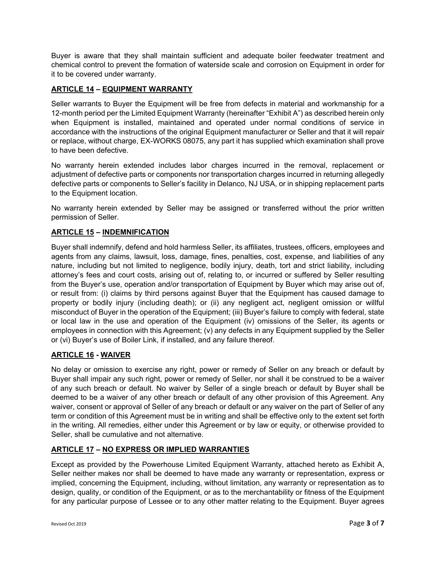Buyer is aware that they shall maintain sufficient and adequate boiler feedwater treatment and chemical control to prevent the formation of waterside scale and corrosion on Equipment in order for it to be covered under warranty.

## **ARTICLE 14 – EQUIPMENT WARRANTY**

Seller warrants to Buyer the Equipment will be free from defects in material and workmanship for a 12-month period per the Limited Equipment Warranty (hereinafter "Exhibit A") as described herein only when Equipment is installed, maintained and operated under normal conditions of service in accordance with the instructions of the original Equipment manufacturer or Seller and that it will repair or replace, without charge, EX-WORKS 08075, any part it has supplied which examination shall prove to have been defective.

No warranty herein extended includes labor charges incurred in the removal, replacement or adjustment of defective parts or components nor transportation charges incurred in returning allegedly defective parts or components to Seller's facility in Delanco, NJ USA, or in shipping replacement parts to the Equipment location.

No warranty herein extended by Seller may be assigned or transferred without the prior written permission of Seller.

## **ARTICLE 15 – INDEMNIFICATION**

Buyer shall indemnify, defend and hold harmless Seller, its affiliates, trustees, officers, employees and agents from any claims, lawsuit, loss, damage, fines, penalties, cost, expense, and liabilities of any nature, including but not limited to negligence, bodily injury, death, tort and strict liability, including attorney's fees and court costs, arising out of, relating to, or incurred or suffered by Seller resulting from the Buyer's use, operation and/or transportation of Equipment by Buyer which may arise out of, or result from: (i) claims by third persons against Buyer that the Equipment has caused damage to property or bodily injury (including death); or (ii) any negligent act, negligent omission or willful misconduct of Buyer in the operation of the Equipment; (iii) Buyer's failure to comply with federal, state or local law in the use and operation of the Equipment (iv) omissions of the Seller, its agents or employees in connection with this Agreement; (v) any defects in any Equipment supplied by the Seller or (vi) Buyer's use of Boiler Link, if installed, and any failure thereof.

### **ARTICLE 16 - WAIVER**

No delay or omission to exercise any right, power or remedy of Seller on any breach or default by Buyer shall impair any such right, power or remedy of Seller, nor shall it be construed to be a waiver of any such breach or default. No waiver by Seller of a single breach or default by Buyer shall be deemed to be a waiver of any other breach or default of any other provision of this Agreement. Any waiver, consent or approval of Seller of any breach or default or any waiver on the part of Seller of any term or condition of this Agreement must be in writing and shall be effective only to the extent set forth in the writing. All remedies, either under this Agreement or by law or equity, or otherwise provided to Seller, shall be cumulative and not alternative.

### **ARTICLE 17 – NO EXPRESS OR IMPLIED WARRANTIES**

Except as provided by the Powerhouse Limited Equipment Warranty, attached hereto as Exhibit A, Seller neither makes nor shall be deemed to have made any warranty or representation, express or implied, concerning the Equipment, including, without limitation, any warranty or representation as to design, quality, or condition of the Equipment, or as to the merchantability or fitness of the Equipment for any particular purpose of Lessee or to any other matter relating to the Equipment. Buyer agrees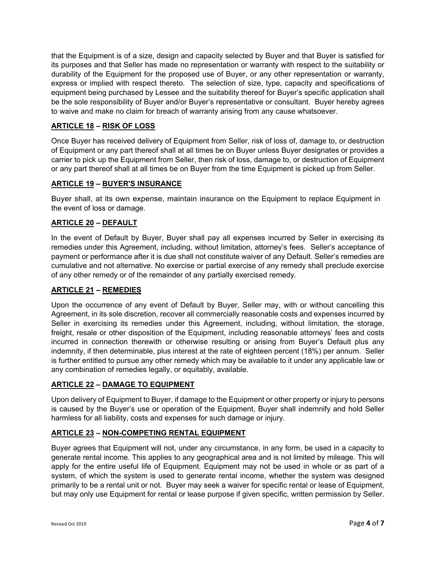that the Equipment is of a size, design and capacity selected by Buyer and that Buyer is satisfied for its purposes and that Seller has made no representation or warranty with respect to the suitability or durability of the Equipment for the proposed use of Buyer, or any other representation or warranty, express or implied with respect thereto. The selection of size, type, capacity and specifications of equipment being purchased by Lessee and the suitability thereof for Buyer's specific application shall be the sole responsibility of Buyer and/or Buyer's representative or consultant. Buyer hereby agrees to waive and make no claim for breach of warranty arising from any cause whatsoever.

## **ARTICLE 18 – RISK OF LOSS**

Once Buyer has received delivery of Equipment from Seller, risk of loss of, damage to, or destruction of Equipment or any part thereof shall at all times be on Buyer unless Buyer designates or provides a carrier to pick up the Equipment from Seller, then risk of loss, damage to, or destruction of Equipment or any part thereof shall at all times be on Buyer from the time Equipment is picked up from Seller.

## **ARTICLE 19 – BUYER'S INSURANCE**

Buyer shall, at its own expense, maintain insurance on the Equipment to replace Equipment in the event of loss or damage.

### **ARTICLE 20 – DEFAULT**

In the event of Default by Buyer, Buyer shall pay all expenses incurred by Seller in exercising its remedies under this Agreement, including, without limitation, attorney's fees. Seller's acceptance of payment or performance after it is due shall not constitute waiver of any Default. Seller's remedies are cumulative and not alternative. No exercise or partial exercise of any remedy shall preclude exercise of any other remedy or of the remainder of any partially exercised remedy.

### **ARTICLE 21 – REMEDIES**

Upon the occurrence of any event of Default by Buyer, Seller may, with or without cancelling this Agreement, in its sole discretion, recover all commercially reasonable costs and expenses incurred by Seller in exercising its remedies under this Agreement, including, without limitation, the storage, freight, resale or other disposition of the Equipment, including reasonable attorneys' fees and costs incurred in connection therewith or otherwise resulting or arising from Buyer's Default plus any indemnity, if then determinable, plus interest at the rate of eighteen percent (18%) per annum. Seller is further entitled to pursue any other remedy which may be available to it under any applicable law or any combination of remedies legally, or equitably, available.

### **ARTICLE 22 – DAMAGE TO EQUIPMENT**

Upon delivery of Equipment to Buyer, if damage to the Equipment or other property or injury to persons is caused by the Buyer's use or operation of the Equipment, Buyer shall indemnify and hold Seller harmless for all liability, costs and expenses for such damage or injury.

### **ARTICLE 23 – NON-COMPETING RENTAL EQUIPMENT**

Buyer agrees that Equipment will not, under any circumstance, in any form, be used in a capacity to generate rental income. This applies to any geographical area and is not limited by mileage. This will apply for the entire useful life of Equipment. Equipment may not be used in whole or as part of a system, of which the system is used to generate rental income, whether the system was designed primarily to be a rental unit or not. Buyer may seek a waiver for specific rental or lease of Equipment, but may only use Equipment for rental or lease purpose if given specific, written permission by Seller.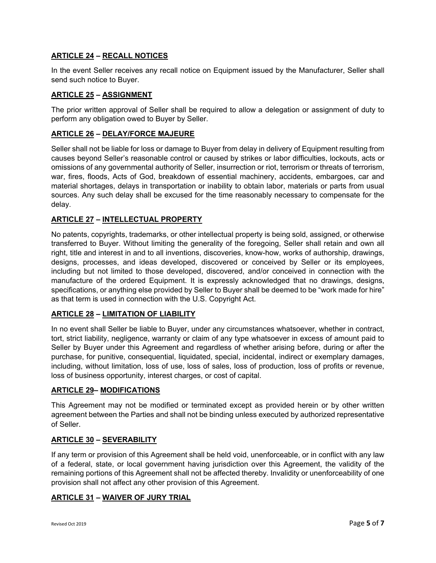## **ARTICLE 24 – RECALL NOTICES**

In the event Seller receives any recall notice on Equipment issued by the Manufacturer, Seller shall send such notice to Buyer.

## **ARTICLE 25 – ASSIGNMENT**

The prior written approval of Seller shall be required to allow a delegation or assignment of duty to perform any obligation owed to Buyer by Seller.

## **ARTICLE 26 – DELAY/FORCE MAJEURE**

Seller shall not be liable for loss or damage to Buyer from delay in delivery of Equipment resulting from causes beyond Seller's reasonable control or caused by strikes or labor difficulties, lockouts, acts or omissions of any governmental authority of Seller, insurrection or riot, terrorism or threats of terrorism, war, fires, floods, Acts of God, breakdown of essential machinery, accidents, embargoes, car and material shortages, delays in transportation or inability to obtain labor, materials or parts from usual sources. Any such delay shall be excused for the time reasonably necessary to compensate for the delay.

# **ARTICLE 27 – INTELLECTUAL PROPERTY**

No patents, copyrights, trademarks, or other intellectual property is being sold, assigned, or otherwise transferred to Buyer. Without limiting the generality of the foregoing, Seller shall retain and own all right, title and interest in and to all inventions, discoveries, know-how, works of authorship, drawings, designs, processes, and ideas developed, discovered or conceived by Seller or its employees, including but not limited to those developed, discovered, and/or conceived in connection with the manufacture of the ordered Equipment. It is expressly acknowledged that no drawings, designs, specifications, or anything else provided by Seller to Buyer shall be deemed to be "work made for hire" as that term is used in connection with the U.S. Copyright Act.

# **ARTICLE 28 – LIMITATION OF LIABILITY**

In no event shall Seller be liable to Buyer, under any circumstances whatsoever, whether in contract, tort, strict liability, negligence, warranty or claim of any type whatsoever in excess of amount paid to Seller by Buyer under this Agreement and regardless of whether arising before, during or after the purchase, for punitive, consequential, liquidated, special, incidental, indirect or exemplary damages, including, without limitation, loss of use, loss of sales, loss of production, loss of profits or revenue, loss of business opportunity, interest charges, or cost of capital.

### **ARTICLE 29– MODIFICATIONS**

This Agreement may not be modified or terminated except as provided herein or by other written agreement between the Parties and shall not be binding unless executed by authorized representative of Seller.

### **ARTICLE 30 – SEVERABILITY**

If any term or provision of this Agreement shall be held void, unenforceable, or in conflict with any law of a federal, state, or local government having jurisdiction over this Agreement, the validity of the remaining portions of this Agreement shall not be affected thereby. Invalidity or unenforceability of one provision shall not affect any other provision of this Agreement.

### **ARTICLE 31 – WAIVER OF JURY TRIAL**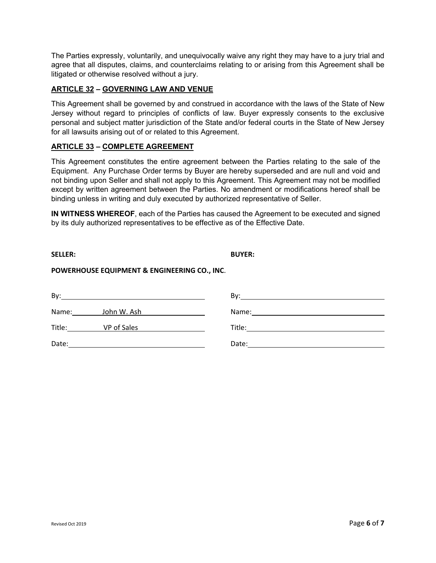The Parties expressly, voluntarily, and unequivocally waive any right they may have to a jury trial and agree that all disputes, claims, and counterclaims relating to or arising from this Agreement shall be litigated or otherwise resolved without a jury.

## **ARTICLE 32 – GOVERNING LAW AND VENUE**

This Agreement shall be governed by and construed in accordance with the laws of the State of New Jersey without regard to principles of conflicts of law. Buyer expressly consents to the exclusive personal and subject matter jurisdiction of the State and/or federal courts in the State of New Jersey for all lawsuits arising out of or related to this Agreement.

### **ARTICLE 33 – COMPLETE AGREEMENT**

This Agreement constitutes the entire agreement between the Parties relating to the sale of the Equipment. Any Purchase Order terms by Buyer are hereby superseded and are null and void and not binding upon Seller and shall not apply to this Agreement. This Agreement may not be modified except by written agreement between the Parties. No amendment or modifications hereof shall be binding unless in writing and duly executed by authorized representative of Seller.

**IN WITNESS WHEREOF**, each of the Parties has caused the Agreement to be executed and signed by its duly authorized representatives to be effective as of the Effective Date.

**POWERHOUSE EQUIPMENT & ENGINEERING CO., INC**.

| By:<br><u> 1980 - Andrea Brand, amerikansk politik (d. 1980)</u> |                                                | Bv:<br><u> 1989 - Johann Harry Barn, mars and deutscher Programment (</u>                                                                                                                                                           |
|------------------------------------------------------------------|------------------------------------------------|-------------------------------------------------------------------------------------------------------------------------------------------------------------------------------------------------------------------------------------|
| Name: John W. Ash                                                | <u> 1989 - Andrea State Barnett, ameri</u> kan |                                                                                                                                                                                                                                     |
| Title: VP of Sales                                               |                                                | <b>Title:</b> The contract of the contract of the contract of the contract of the contract of the contract of the contract of the contract of the contract of the contract of the contract of the contract of the contract of the c |
| Date:                                                            |                                                | Date:                                                                                                                                                                                                                               |